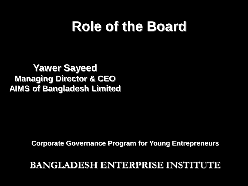## **Role of the Board**

#### **Yawer Sayeed Managing Director & CEO AIMS of Bangladesh Limited**

**Corporate Governance Program for Young Entrepreneurs**

#### **BANGLADESH ENTERPRISE INSTITUTE**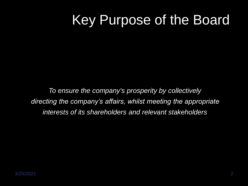## Key Purpose of the Board

*To ensure the company's prosperity by collectively directing the company's affairs, whilst meeting the appropriate interests of its shareholders and relevant stakeholders*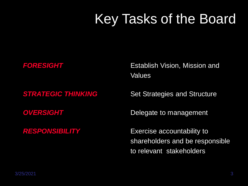# Key Tasks of the Board

**FORESIGHT** *Establish Vision, Mission and* Values

**STRATEGIC THINKING** Set Strategies and Structure

**OVERSIGHT** Delegate to management

**RESPONSIBILITY** Exercise accountability to shareholders and be responsible to relevant stakeholders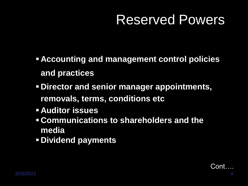## Reserved Powers

- **Accounting and management control policies and practices**
- **Director and senior manager appointments, removals, terms, conditions etc**
- **Auditor issues**
- **Communications to shareholders and the media**
- **Dividend payments**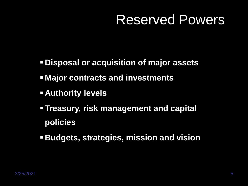#### Reserved Powers

- **Disposal or acquisition of major assets**
- **Major contracts and investments**
- **Authority levels**
- **Treasury, risk management and capital policies**
- **Budgets, strategies, mission and vision**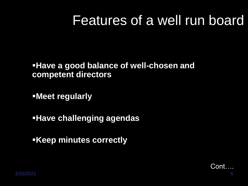### Features of a well run board

#### **Have a good balance of well-chosen and competent directors**

**Meet regularly** 

**Have challenging agendas** 

**Keep minutes correctly** 

Cont….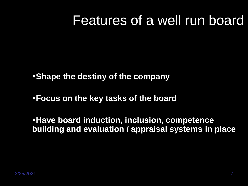#### Features of a well run board

**Shape the destiny of the company**

**Focus on the key tasks of the board** 

**Have board induction, inclusion, competence building and evaluation / appraisal systems in place**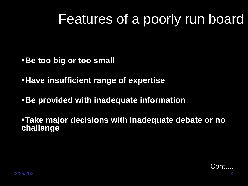## Features of a poorly run board

**Be too big or too small** 

**Have insufficient range of expertise**

**Be provided with inadequate information** 

**Take major decisions with inadequate debate or no challenge**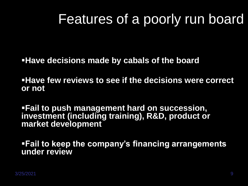## Features of a poorly run board

**Have decisions made by cabals of the board** 

**Have few reviews to see if the decisions were correct or not**

**Fail to push management hard on succession, investment (including training), R&D, product or market development**

**Fail to keep the company's financing arrangements under review**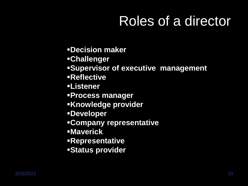# Roles of a director

- **Decision maker**
- **Challenger**
- **Supervisor of executive management**
- **Reflective**
- **Listener**
- **Process manager**
- **Knowledge provider**
- **Developer**
- **Company representative**
- **Maverick**
- **Representative**
- **Status provider**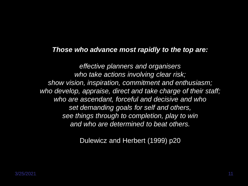#### *Those who advance most rapidly to the top are:*

*effective planners and organisers who take actions involving clear risk; show vision, inspiration, commitment and enthusiasm; who develop, appraise, direct and take charge of their staff; who are ascendant, forceful and decisive and who set demanding goals for self and others, see things through to completion, play to win and who are determined to beat others.* 

Dulewicz and Herbert (1999) p20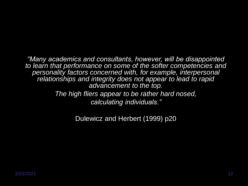*"Many academics and consultants, however, will be disappointed to learn that performance on some of the softer competencies and personality factors concerned with, for example, interpersonal relationships and integrity does not appear to lead to rapid advancement to the top. The high fliers appear to be rather hard nosed,* 

*calculating individuals."*

Dulewicz and Herbert (1999) p20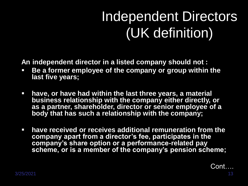# Independent Directors (UK definition)

**An independent director in a listed company should not :**

- **Be a former employee of the company or group within the last five years;**
- **have, or have had within the last three years, a material business relationship with the company either directly, or as a partner, shareholder, director or senior employee of a body that has such a relationship with the company;**
- **have received or receives additional remuneration from the company apart from a director's fee, participates in the company's share option or a performance-related pay scheme, or is a member of the company's pension scheme;**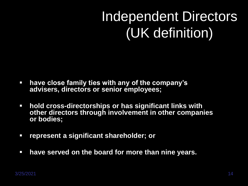# Independent Directors (UK definition)

- **have close family ties with any of the company's advisers, directors or senior employees;**
- **hold cross-directorships or has significant links with other directors through involvement in other companies or bodies;**
- **represent a significant shareholder; or**
- **have served on the board for more than nine years.**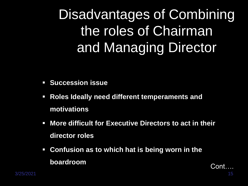Disadvantages of Combining the roles of Chairman and Managing Director

- **Succession issue**
- **Roles Ideally need different temperaments and motivations**
- **More difficult for Executive Directors to act in their director roles**
- **Confusion as to which hat is being worn in the boardroom**

Cont….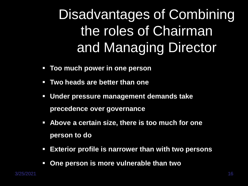Disadvantages of Combining the roles of Chairman and Managing Director

- **Too much power in one person**
- **Two heads are better than one**
- **Under pressure management demands take precedence over governance**
- **Above a certain size, there is too much for one person to do**
- **Exterior profile is narrower than with two persons**
- **One person is more vulnerable than two**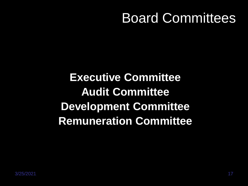## Board Committees

**Executive Committee Audit Committee Development Committee Remuneration Committee**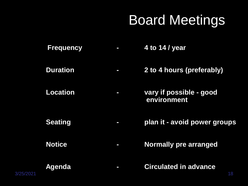# Board Meetings

- **Frequency - 4 to 14 / year**
- **Duration - 2 to 4 hours (preferably)**
- **Location - vary if possible - good environment**
- **Seating - plan it - avoid power groups**
- **Notice - Normally pre arranged**
- **Agenda - Circulated in advance**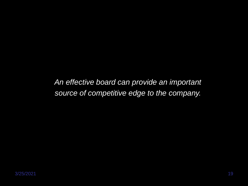*An effective board can provide an important source of competitive edge to the company.*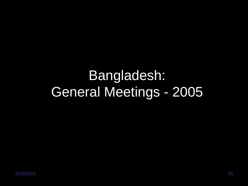# Bangladesh: General Meetings - 2005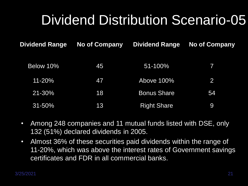# Dividend Distribution Scenario-05

| <b>Dividend Range</b> | <b>No of Company</b> | <b>Dividend Range</b> | <b>No of Company</b> |
|-----------------------|----------------------|-----------------------|----------------------|
| Below 10%             | 45                   | 51-100%               | 7                    |
| 11-20%                | <b>477</b>           | Above 100%            | 2                    |
| 21-30%                | 18                   | <b>Bonus Share</b>    | 54                   |
| $31 - 50%$            | 13                   | <b>Right Share</b>    | 9                    |

- Among 248 companies and 11 mutual funds listed with DSE, only 132 (51%) declared dividends in 2005.
- Almost 36% of these securities paid dividends within the range of 11-20%, which was above the interest rates of Government savings certificates and FDR in all commercial banks.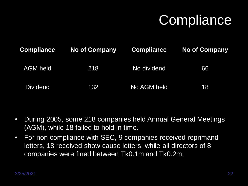# **Compliance**

| <b>Compliance</b> | <b>No of Company</b> | <b>Compliance</b> | <b>No of Company</b> |
|-------------------|----------------------|-------------------|----------------------|
| <b>AGM held</b>   | 218                  | No dividend       | 66                   |
| <b>Dividend</b>   | 132                  | No AGM held       | 18                   |

- During 2005, some 218 companies held Annual General Meetings (AGM), while 18 failed to hold in time.
- For non compliance with SEC, 9 companies received reprimand letters, 18 received show cause letters, while all directors of 8 companies were fined between Tk0.1m and Tk0.2m.